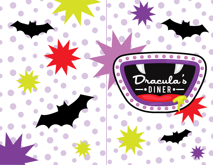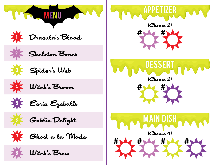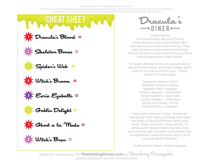## THIS DOWNLOAD IS FOR PERSONAL USE ONLY!

Please do not share this design with anyone else or give this design out via email or any other way. We would greatly appreciate it if you would direct those who may be interested back to www.thedatingdivas.com.



Iracula's  $\mathcal B$ lood  $\equiv$ 

 $S$ keleton Bones  $=$ 

 $S$ pider's Web  $=$ 

Witch's Broom =

 $55 = 2$ yeballs =

Goblin Delight =

**7 G**host a la Mode =

 $W$ itch's  $B$ rew  $=$ 

Dracula' s

Instructions: This Halloween, let your family order dinner at Dracula's Diner. But this menu is not like other menus! They will not know what they're ordering. Instead of the actual food items, you'll be using Halloween code words.

To begin, decide what you would like to serve for the meal. And then assign each item to a code word on your "cheat sheet." For example:

> Dracula's Blood = Fork Skeleton Bones = Spoon Spider's Web = Napkin Witch's Broom = Main Dish Eerie Eyeballs = Side Dish Goblin Delight = Side Dish Ghost a la Mode = Drink Witch's Brew = Dessert

Have each person "order" dinner by filling out their menu, making sure they use each of the 8 different items only once. Then use your "cheat sheet" to serve each person their courses. One person may get a napkin and dessert for an appetizer, while another gets a fork and a drink for dessert.

At Dracula's Diner- anything goes!

Designed exclusively for **TheDatingDivas.com** by Strawberry Mommycakes www.strawberrymommycakes.com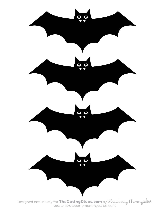